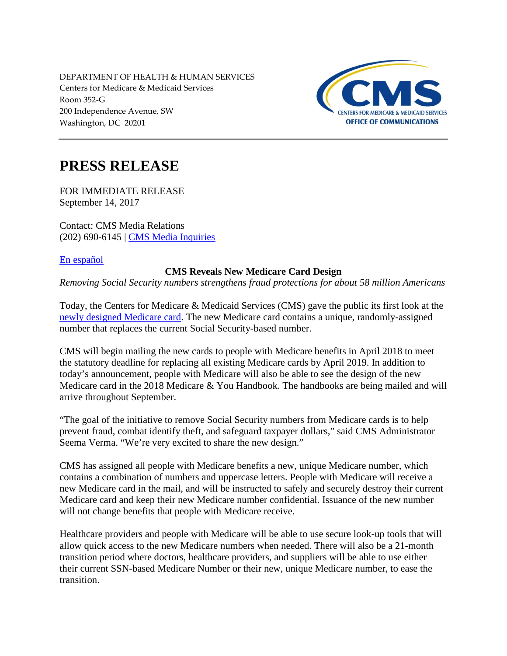DEPARTMENT OF HEALTH & HUMAN SERVICES Centers for Medicare & Medicaid Services Room 352-G 200 Independence Avenue, SW Washington, DC 20201



## **PRESS RELEASE**

FOR IMMEDIATE RELEASE September 14, 2017

Contact: CMS Media Relations (202) 690-6145 | [CMS Media Inquiries](http://go.cms.gov/media)

[En español](https://www.cms.gov/Newsroom/MediaReleaseDatabase/Press-releases/2017-Press-releases-items/2017-09-14-2.html)

## **CMS Reveals New Medicare Card Design**

*Removing Social Security numbers strengthens fraud protections for about 58 million Americans*

Today, the Centers for Medicare & Medicaid Services (CMS) gave the public its first look at the [newly designed Medicare card.](http://www.cms.gov/newcard) The new Medicare card contains a unique, randomly-assigned number that replaces the current Social Security-based number.

CMS will begin mailing the new cards to people with Medicare benefits in April 2018 to meet the statutory deadline for replacing all existing Medicare cards by April 2019. In addition to today's announcement, people with Medicare will also be able to see the design of the new Medicare card in the 2018 Medicare & You Handbook. The handbooks are being mailed and will arrive throughout September.

"The goal of the initiative to remove Social Security numbers from Medicare cards is to help prevent fraud, combat identify theft, and safeguard taxpayer dollars," said CMS Administrator Seema Verma. "We're very excited to share the new design."

CMS has assigned all people with Medicare benefits a new, unique Medicare number, which contains a combination of numbers and uppercase letters. People with Medicare will receive a new Medicare card in the mail, and will be instructed to safely and securely destroy their current Medicare card and keep their new Medicare number confidential. Issuance of the new number will not change benefits that people with Medicare receive.

Healthcare providers and people with Medicare will be able to use secure look-up tools that will allow quick access to the new Medicare numbers when needed. There will also be a 21-month transition period where doctors, healthcare providers, and suppliers will be able to use either their current SSN-based Medicare Number or their new, unique Medicare number, to ease the transition.